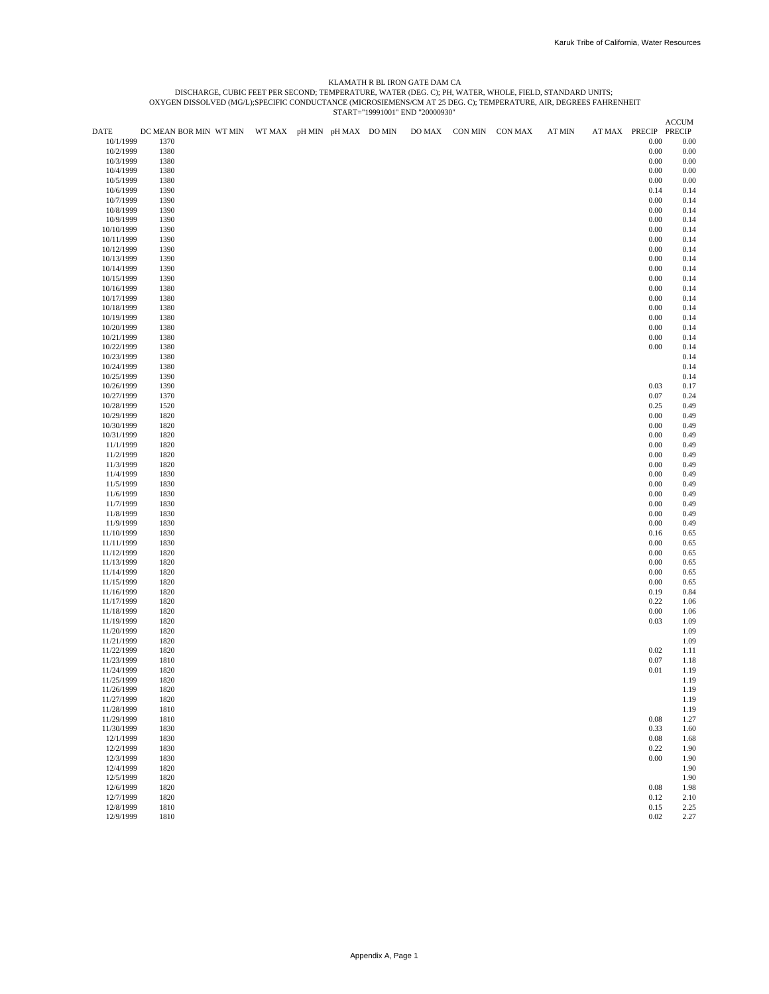# KLAMATH R BL IRON GATE DAM CA<br>DISCHARGE, CUBIC FEET PER SECOND; TEMPERATURE, WATER, OS: O;; PH, WATER, WHOLE, FIELD, STANDARD UNITS;<br>OXYGEN DISSOLVED (MG/L);SPECIFIC CONDUCTANCE (MICROSIEMENS/CM AT 25 DEG. C); TEMPERATURE,

|                          |                                                    |  |  |        |                 |               |                      | <b>ACCUM</b> |
|--------------------------|----------------------------------------------------|--|--|--------|-----------------|---------------|----------------------|--------------|
| DATE                     | DC MEAN BOR MIN WT MIN WT MAX pH MIN pH MAX DO MIN |  |  | DO MAX | CON MIN CON MAX | <b>AT MIN</b> | AT MAX PRECIP PRECIP |              |
| 10/1/1999                | 1370                                               |  |  |        |                 |               | $0.00\,$             | 0.00         |
| 10/2/1999                | 1380                                               |  |  |        |                 |               | $0.00\,$             | 0.00         |
| 10/3/1999                | 1380                                               |  |  |        |                 |               | 0.00                 | 0.00         |
| 10/4/1999                | 1380                                               |  |  |        |                 |               | 0.00                 | 0.00         |
| 10/5/1999<br>10/6/1999   | 1380                                               |  |  |        |                 |               | 0.00                 | 0.00         |
|                          | 1390                                               |  |  |        |                 |               | 0.14                 | 0.14         |
| 10/7/1999                | 1390                                               |  |  |        |                 |               | $0.00\,$             | 0.14         |
| 10/8/1999                | 1390                                               |  |  |        |                 |               | 0.00                 | 0.14         |
| 10/9/1999<br>10/10/1999  | 1390<br>1390                                       |  |  |        |                 |               | 0.00<br>$0.00\,$     | 0.14         |
| 10/11/1999               | 1390                                               |  |  |        |                 |               | 0.00                 | 0.14<br>0.14 |
| 10/12/1999               | 1390                                               |  |  |        |                 |               | $0.00\,$             | 0.14         |
| 10/13/1999               | 1390                                               |  |  |        |                 |               | 0.00                 | 0.14         |
| 10/14/1999               | 1390                                               |  |  |        |                 |               | 0.00                 | 0.14         |
| 10/15/1999               | 1390                                               |  |  |        |                 |               | 0.00                 | 0.14         |
| 10/16/1999               | 1380                                               |  |  |        |                 |               | 0.00                 | 0.14         |
| 10/17/1999               | 1380                                               |  |  |        |                 |               | $0.00\,$             | 0.14         |
| 10/18/1999               | 1380                                               |  |  |        |                 |               | 0.00                 | 0.14         |
| 10/19/1999               | 1380                                               |  |  |        |                 |               | 0.00                 | 0.14         |
| 10/20/1999               | 1380                                               |  |  |        |                 |               | 0.00                 | 0.14         |
| 10/21/1999               | 1380                                               |  |  |        |                 |               | $0.00\,$             | 0.14         |
| 10/22/1999               | 1380                                               |  |  |        |                 |               | $0.00\,$             | 0.14         |
| 10/23/1999               | 1380                                               |  |  |        |                 |               |                      | 0.14         |
| 10/24/1999               | 1380                                               |  |  |        |                 |               |                      | 0.14         |
| 10/25/1999               | 1390                                               |  |  |        |                 |               |                      | 0.14         |
| 10/26/1999               | 1390                                               |  |  |        |                 |               | 0.03                 | 0.17         |
| 10/27/1999               | 1370                                               |  |  |        |                 |               | 0.07                 | 0.24         |
| 10/28/1999               | 1520                                               |  |  |        |                 |               | 0.25                 | 0.49         |
| 10/29/1999               | 1820                                               |  |  |        |                 |               | 0.00                 | 0.49         |
| 10/30/1999               | 1820                                               |  |  |        |                 |               | 0.00                 | 0.49         |
| 10/31/1999               | 1820                                               |  |  |        |                 |               | $0.00\,$             | 0.49         |
| 11/1/1999                | 1820                                               |  |  |        |                 |               | $0.00\,$             | 0.49         |
| 11/2/1999                | 1820                                               |  |  |        |                 |               | 0.00                 | 0.49         |
| 11/3/1999                | 1820                                               |  |  |        |                 |               | 0.00                 | 0.49         |
| 11/4/1999<br>11/5/1999   | 1830<br>1830                                       |  |  |        |                 |               | 0.00<br>0.00         | 0.49<br>0.49 |
| 11/6/1999                | 1830                                               |  |  |        |                 |               | $0.00\,$             | 0.49         |
| 11/7/1999                | 1830                                               |  |  |        |                 |               | 0.00                 | 0.49         |
| 11/8/1999                | 1830                                               |  |  |        |                 |               | 0.00                 | 0.49         |
| 11/9/1999                | 1830                                               |  |  |        |                 |               | $0.00\,$             | 0.49         |
| 11/10/1999               | 1830                                               |  |  |        |                 |               | 0.16                 | 0.65         |
| 11/11/1999               | 1830                                               |  |  |        |                 |               | $0.00\,$             | 0.65         |
| 11/12/1999               | 1820                                               |  |  |        |                 |               | 0.00                 | 0.65         |
| 11/13/1999               | 1820                                               |  |  |        |                 |               | 0.00                 | 0.65         |
| 11/14/1999               | 1820                                               |  |  |        |                 |               | 0.00                 | 0.65         |
| 11/15/1999               | 1820                                               |  |  |        |                 |               | 0.00                 | 0.65         |
| 11/16/1999               | 1820                                               |  |  |        |                 |               | 0.19                 | 0.84         |
| 11/17/1999               | 1820                                               |  |  |        |                 |               | 0.22                 | 1.06         |
| 11/18/1999               | 1820                                               |  |  |        |                 |               | 0.00                 | 1.06         |
| 11/19/1999               | 1820                                               |  |  |        |                 |               | 0.03                 | 1.09         |
| 11/20/1999               | 1820                                               |  |  |        |                 |               |                      | 1.09         |
| 11/21/1999               | 1820                                               |  |  |        |                 |               |                      | 1.09         |
| 11/22/1999               | 1820                                               |  |  |        |                 |               | 0.02                 | 1.11         |
| 11/23/1999               | 1810                                               |  |  |        |                 |               | 0.07                 | 1.18         |
| 11/24/1999<br>11/25/1999 | 1820<br>1820                                       |  |  |        |                 |               | 0.01                 | 1.19<br>1.19 |
| 11/26/1999               | 1820                                               |  |  |        |                 |               |                      | 1.19         |
| 11/27/1999               | 1820                                               |  |  |        |                 |               |                      | 1.19         |
| 11/28/1999               | 1810                                               |  |  |        |                 |               |                      | 1.19         |
| 11/29/1999               | 1810                                               |  |  |        |                 |               | $0.08\,$             | 1.27         |
| 11/30/1999               | 1830                                               |  |  |        |                 |               | 0.33                 | 1.60         |
| 12/1/1999                | 1830                                               |  |  |        |                 |               | 0.08                 | 1.68         |
| 12/2/1999                | 1830                                               |  |  |        |                 |               | 0.22                 | 1.90         |
| 12/3/1999                | 1830                                               |  |  |        |                 |               | $0.00\,$             | 1.90         |
| 12/4/1999                | 1820                                               |  |  |        |                 |               |                      | 1.90         |
| 12/5/1999                | 1820                                               |  |  |        |                 |               |                      | 1.90         |
| 12/6/1999                | 1820                                               |  |  |        |                 |               | $0.08\,$             | 1.98         |
| 12/7/1999                | 1820                                               |  |  |        |                 |               | 0.12                 | 2.10         |
| 12/8/1999                | 1810                                               |  |  |        |                 |               | 0.15                 | 2.25         |
| 12/9/1999                | 1810                                               |  |  |        |                 |               | 0.02                 | 2.27         |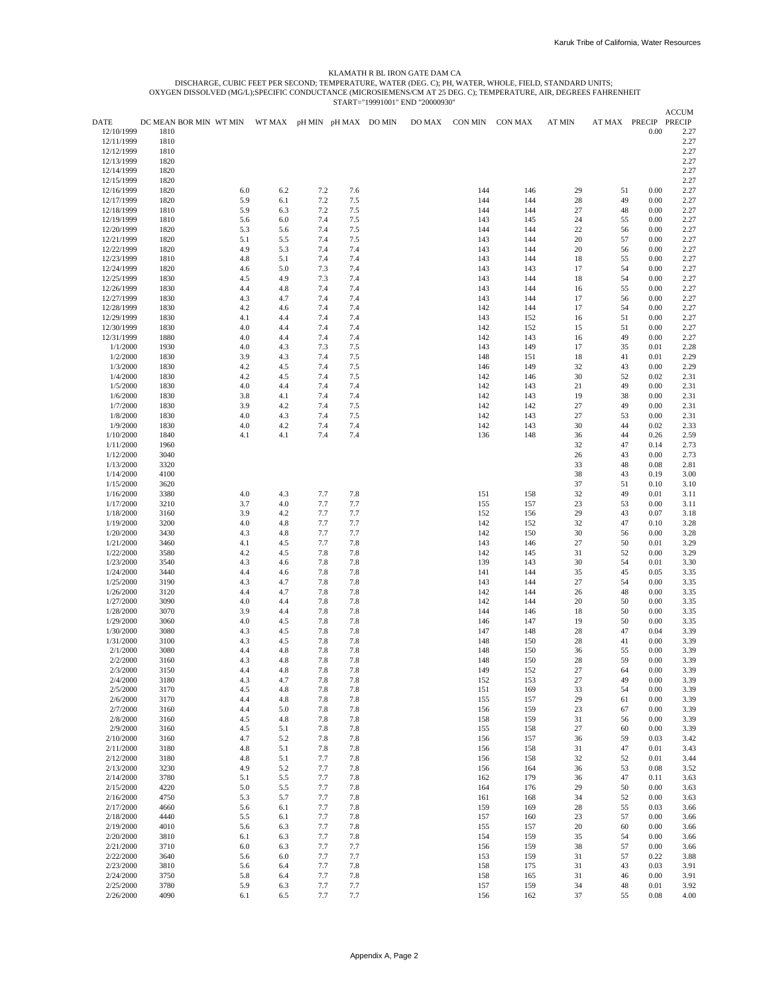#### KLAMATH R BL IRON GATE DAM CA

DISCHARGE, CUBIC FEET PER SECOND; TEMPERATURE, WATER (DEG. C); PH, WATER, WHOLE, FIELD, STANDARD UNITS;<br>OXYGEN DISSOLVED (MG/L);SPECIFIC CONDUCTANCE (MICROSIEMENS/CM AT 25 DEG. C); TEMPERATURE, AIR, DEGREES FAHRENHEIT<br>STAR

|                          |                        |            |                             |            |            | 01/11/1-1///1001 |        |            |            |               |          |              | <b>ACCUM</b>  |
|--------------------------|------------------------|------------|-----------------------------|------------|------------|------------------|--------|------------|------------|---------------|----------|--------------|---------------|
| <b>DATE</b>              | DC MEAN BOR MIN WT MIN |            | WT MAX pH MIN pH MAX DO MIN |            |            |                  | DO MAX | CON MIN    | CON MAX    | <b>AT MIN</b> | AT MAX   | PRECIP       | <b>PRECIP</b> |
| 12/10/1999               | 1810                   |            |                             |            |            |                  |        |            |            |               |          | 0.00         | 2.27          |
| 12/11/1999               | 1810                   |            |                             |            |            |                  |        |            |            |               |          |              | 2.27          |
| 12/12/1999               | 1810                   |            |                             |            |            |                  |        |            |            |               |          |              | 2.27          |
| 12/13/1999               | 1820                   |            |                             |            |            |                  |        |            |            |               |          |              | 2.27          |
| 12/14/1999               | 1820                   |            |                             |            |            |                  |        |            |            |               |          |              | 2.27          |
| 12/15/1999               | 1820                   |            |                             |            |            |                  |        |            |            |               |          |              | 2.27          |
| 12/16/1999               | 1820                   | 6.0        | 6.2                         | 7.2        | 7.6        |                  |        | 144        | 146        | 29            | 51       | 0.00         | 2.27          |
| 12/17/1999               | 1820                   | 5.9        | 6.1                         | 7.2        | 7.5        |                  |        | 144        | 144        | 28            | 49       | 0.00         | 2.27          |
| 12/18/1999               | 1810                   | 5.9        | 6.3                         | 7.2        | 7.5        |                  |        | 144        | 144        | 27            | 48       | 0.00         | 2.27          |
| 12/19/1999               | 1810                   | 5.6        | 6.0                         | 7.4        | 7.5        |                  |        | 143        | 145        | 24            | 55       | 0.00         | 2.27          |
| 12/20/1999               | 1820                   | 5.3        | 5.6                         | 7.4        | 7.5        |                  |        | 144        | 144        | 22            | 56       | 0.00         | 2.27          |
| 12/21/1999               | 1820                   | 5.1        | 5.5                         | 7.4        | 7.5        |                  |        | 143        | 144        | 20            | 57       | 0.00         | 2.27          |
| 12/22/1999               | 1820                   | 4.9        | 5.3                         | 7.4        | 7.4        |                  |        | 143        | 144        | 20            | 56       | 0.00         | 2.27          |
| 12/23/1999               | 1810                   | 4.8        | 5.1                         | 7.4        | 7.4        |                  |        | 143        | 144        | 18            | 55       | 0.00         | 2.27          |
| 12/24/1999               | 1820                   | 4.6        | 5.0                         | 7.3        | 7.4        |                  |        | 143        | 143        | 17            | 54       | 0.00         | 2.27          |
| 12/25/1999<br>12/26/1999 | 1830<br>1830           | 4.5<br>4.4 | 4.9<br>4.8                  | 7.3<br>7.4 | 7.4<br>7.4 |                  |        | 143<br>143 | 144<br>144 | 18<br>16      | 54<br>55 | 0.00<br>0.00 | 2.27<br>2.27  |
| 12/27/1999               | 1830                   | 4.3        | 4.7                         | 7.4        | 7.4        |                  |        | 143        | 144        | 17            | 56       | 0.00         | 2.27          |
| 12/28/1999               | 1830                   | 4.2        | 4.6                         | 7.4        | 7.4        |                  |        | 142        | 144        | 17            | 54       | 0.00         | 2.27          |
| 12/29/1999               | 1830                   | 4.1        | 4.4                         | 7.4        | 7.4        |                  |        | 143        | 152        | 16            | 51       | 0.00         | 2.27          |
| 12/30/1999               | 1830                   | 4.0        | 4.4                         | 7.4        | 7.4        |                  |        | 142        | 152        | 15            | 51       | 0.00         | 2.27          |
| 12/31/1999               | 1880                   | 4.0        | 4.4                         | 7.4        | 7.4        |                  |        | 142        | 143        | 16            | 49       | 0.00         | 2.27          |
| 1/1/2000                 | 1930                   | 4.0        | 4.3                         | 7.3        | 7.5        |                  |        | 143        | 149        | 17            | 35       | 0.01         | 2.28          |
| 1/2/2000                 | 1830                   | 3.9        | 4.3                         | 7.4        | 7.5        |                  |        | 148        | 151        | 18            | 41       | 0.01         | 2.29          |
| 1/3/2000                 | 1830                   | 4.2        | 4.5                         | 7.4        | 7.5        |                  |        | 146        | 149        | 32            | 43       | 0.00         | 2.29          |
| 1/4/2000                 | 1830                   | 4.2        | 4.5                         | 7.4        | 7.5        |                  |        | 142        | 146        | 30            | 52       | 0.02         | 2.31          |
| 1/5/2000                 | 1830                   | 4.0        | 4.4                         | 7.4        | 7.4        |                  |        | 142        | 143        | 21            | 49       | 0.00         | 2.31          |
| 1/6/2000                 | 1830                   | 3.8        | 4.1                         | 7.4        | 7.4        |                  |        | 142        | 143        | 19            | 38       | 0.00         | 2.31          |
| 1/7/2000                 | 1830                   | 3.9        | 4.2                         | 7.4        | 7.5        |                  |        | 142        | 142        | 27            | 49       | 0.00         | 2.31          |
| 1/8/2000                 | 1830                   | 4.0        | 4.3                         | 7.4        | 7.5        |                  |        | 142        | 143        | 27            | 53       | 0.00         | 2.31          |
| 1/9/2000                 | 1830                   | 4.0        | 4.2                         | 7.4        | 7.4        |                  |        | 142        | 143        | 30            | 44       | 0.02         | 2.33          |
| 1/10/2000                | 1840                   | 4.1        | 4.1                         | 7.4        | 7.4        |                  |        | 136        | 148        | 36            | 44       | 0.26         | 2.59          |
| 1/11/2000                | 1960                   |            |                             |            |            |                  |        |            |            | 32            | 47       | 0.14         | 2.73          |
| 1/12/2000                | 3040                   |            |                             |            |            |                  |        |            |            | 26            | 43       | 0.00         | 2.73          |
| 1/13/2000                | 3320                   |            |                             |            |            |                  |        |            |            | 33            | 48       | 0.08         | 2.81          |
| 1/14/2000                | 4100                   |            |                             |            |            |                  |        |            |            | 38            | 43       | 0.19         | 3.00          |
| 1/15/2000                | 3620                   |            |                             |            |            |                  |        |            |            | 37            | 51       | 0.10         | 3.10          |
| 1/16/2000                | 3380                   | 4.0        | 4.3                         | 7.7        | 7.8        |                  |        | 151        | 158        | 32            | 49       | 0.01         | 3.11          |
| 1/17/2000                | 3210                   | 3.7        | 4.0                         | 7.7        | 7.7        |                  |        | 155        | 157        | 23            | 53       | 0.00         | 3.11          |
| 1/18/2000                | 3160                   | 3.9        | 4.2                         | 7.7        | 7.7        |                  |        | 152        | 156        | 29            | 43       | 0.07         | 3.18          |
| 1/19/2000                | 3200                   | 4.0        | 4.8                         | 7.7        | 7.7        |                  |        | 142        | 152        | 32            | 47       | 0.10         | 3.28          |
| 1/20/2000                | 3430                   | 4.3        | 4.8                         | 7.7        | 7.7        |                  |        | 142        | 150        | 30            | 56       | 0.00         | 3.28          |
| 1/21/2000                | 3460                   | 4.1        | 4.5                         | 7.7        | 7.8        |                  |        | 143        | 146        | 27            | 50       | 0.01         | 3.29          |
| 1/22/2000                | 3580                   | 4.2        | 4.5                         | 7.8        | 7.8        |                  |        | 142        | 145        | 31            | 52       | 0.00         | 3.29          |
| 1/23/2000                | 3540                   | 4.3        | 4.6                         | 7.8        | 7.8        |                  |        | 139        | 143        | 30            | 54       | 0.01         | 3.30          |
| 1/24/2000                | 3440                   | 4.4        | 4.6                         | 7.8<br>7.8 | 7.8        |                  |        | 141<br>143 | 144<br>144 | 35<br>27      | 45<br>54 | 0.05         | 3.35          |
| 1/25/2000<br>1/26/2000   | 3190<br>3120           | 4.3<br>4.4 | 4.7<br>4.7                  | 7.8        | 7.8<br>7.8 |                  |        | 142        | 144        | 26            | 48       | 0.00<br>0.00 | 3.35<br>3.35  |
| 1/27/2000                | 3090                   | 4.0        | 4.4                         | 7.8        | 7.8        |                  |        | 142        | 144        | 20            | 50       | 0.00         | 3.35          |
| 1/28/2000                | 3070                   | 3.9        | 4.4                         | 7.8        | 7.8        |                  |        | 144        | 146        | 18            | 50       | 0.00         | 3.35          |
| 1/29/2000                | 3060                   | 4.0        | 4.5                         | 7.8        | 7.8        |                  |        | 146        | 147        | 19            | 50       | 0.00         | 3.35          |
| 1/30/2000                | 3080                   | 4.3        | 4.5                         | 7.8        | 7.8        |                  |        | 147        | 148        | 28            | 47       | 0.04         | 3.39          |
| 1/31/2000                | 3100                   | 4.3        | 4.5                         | 7.8        | 7.8        |                  |        | 148        | 150        | 28            | 41       | 0.00         | 3.39          |
| 2/1/2000                 | 3080                   | 4.4        | 4.8                         | 7.8        | 7.8        |                  |        | 148        | 150        | 36            | 55       | 0.00         | 3.39          |
| 2/2/2000                 | 3160                   | 4.3        | 4.8                         | 7.8        | 7.8        |                  |        | 148        | 150        | 28            | 59       | 0.00         | 3.39          |
| 2/3/2000                 | 3150                   | 4.4        | 4.8                         | 7.8        | 7.8        |                  |        | 149        | 152        | 27            | 64       | 0.00         | 3.39          |
| 2/4/2000                 | 3180                   | 4.3        | 4.7                         | 7.8        | 7.8        |                  |        | 152        | 153        | 27            | 49       | 0.00         | 3.39          |
| 2/5/2000                 | 3170                   | 4.5        | 4.8                         | 7.8        | 7.8        |                  |        | 151        | 169        | 33            | 54       | $0.00\,$     | 3.39          |
| 2/6/2000                 | 3170                   | 4.4        | 4.8                         | 7.8        | 7.8        |                  |        | 155        | 157        | 29            | 61       | $0.00\,$     | 3.39          |
| 2/7/2000                 | 3160                   | 4.4        | 5.0                         | 7.8        | 7.8        |                  |        | 156        | 159        | 23            | 67       | 0.00         | 3.39          |
| 2/8/2000                 | 3160                   | 4.5        | 4.8                         | 7.8        | 7.8        |                  |        | 158        | 159        | 31            | 56       | 0.00         | 3.39          |
| 2/9/2000                 | 3160                   | 4.5        | 5.1                         | 7.8        | 7.8        |                  |        | 155        | 158        | 27            | 60       | 0.00         | 3.39          |
| 2/10/2000                | 3160                   | 4.7        | 5.2                         | 7.8        | 7.8        |                  |        | 156        | 157        | 36            | 59       | 0.03         | 3.42          |
| 2/11/2000                | 3180                   | 4.8        | 5.1                         | 7.8        | 7.8        |                  |        | 156        | 158        | 31            | 47       | 0.01         | 3.43          |
| 2/12/2000                | 3180                   | 4.8        | 5.1                         | 7.7        | 7.8        |                  |        | 156        | 158        | 32            | 52       | 0.01         | 3.44          |
| 2/13/2000                | 3230                   | 4.9        | 5.2                         | 7.7        | 7.8        |                  |        | 156        | 164        | 36            | 53       | 0.08         | 3.52          |
| 2/14/2000                | 3780                   | 5.1        | 5.5                         | 7.7        | 7.8        |                  |        | 162        | 179        | 36            | 47       | 0.11         | 3.63          |
| 2/15/2000                | 4220                   | 5.0        | 5.5                         | 7.7        | 7.8        |                  |        | 164        | 176        | 29            | 50       | 0.00         | 3.63          |
| 2/16/2000                | 4750                   | 5.3        | 5.7                         | 7.7        | 7.8        |                  |        | 161        | 168        | 34            | 52       | 0.00         | 3.63          |
| 2/17/2000                | 4660                   | 5.6        | 6.1                         | 7.7        | 7.8        |                  |        | 159        | 169        | 28            | 55       | 0.03         | 3.66          |
| 2/18/2000                | 4440                   | 5.5        | 6.1                         | 7.7        | 7.8        |                  |        | 157        | 160        | 23            | 57       | 0.00         | 3.66          |
| 2/19/2000                | 4010                   | 5.6        | 6.3                         | 7.7        | 7.8        |                  |        | 155        | 157        | 20            | 60       | 0.00         | 3.66          |
| 2/20/2000                | 3810                   | 6.1        | 6.3                         | 7.7        | 7.8        |                  |        | 154        | 159        | 35            | 54       | 0.00         | 3.66          |
| 2/21/2000                | 3710                   | 6.0        | 6.3                         | 7.7        | 7.7        |                  |        | 156        | 159        | 38            | 57       | 0.00         | 3.66          |
| 2/22/2000                | 3640                   | 5.6        | 6.0                         | 7.7        | 7.7        |                  |        | 153        | 159        | 31            | 57       | 0.22         | 3.88          |
| 2/23/2000                | 3810                   | 5.6        | 6.4                         | 7.7        | 7.8        |                  |        | 158        | 175        | 31            | 43       | 0.03         | 3.91          |
| 2/24/2000                | 3750                   | 5.8        | 6.4                         | 7.7        | 7.8        |                  |        | 158        | 165        | 31            | 46       | 0.00         | 3.91          |
| 2/25/2000                | 3780                   | 5.9        | 6.3                         | 7.7        | 7.7        |                  |        | 157        | 159        | 34            | 48       | 0.01         | 3.92          |
| 2/26/2000                | 4090                   | 6.1        | $6.5\,$                     | 7.7        | 7.7        |                  |        | 156        | 162        | 37            | 55       | $0.08\,$     | 4.00          |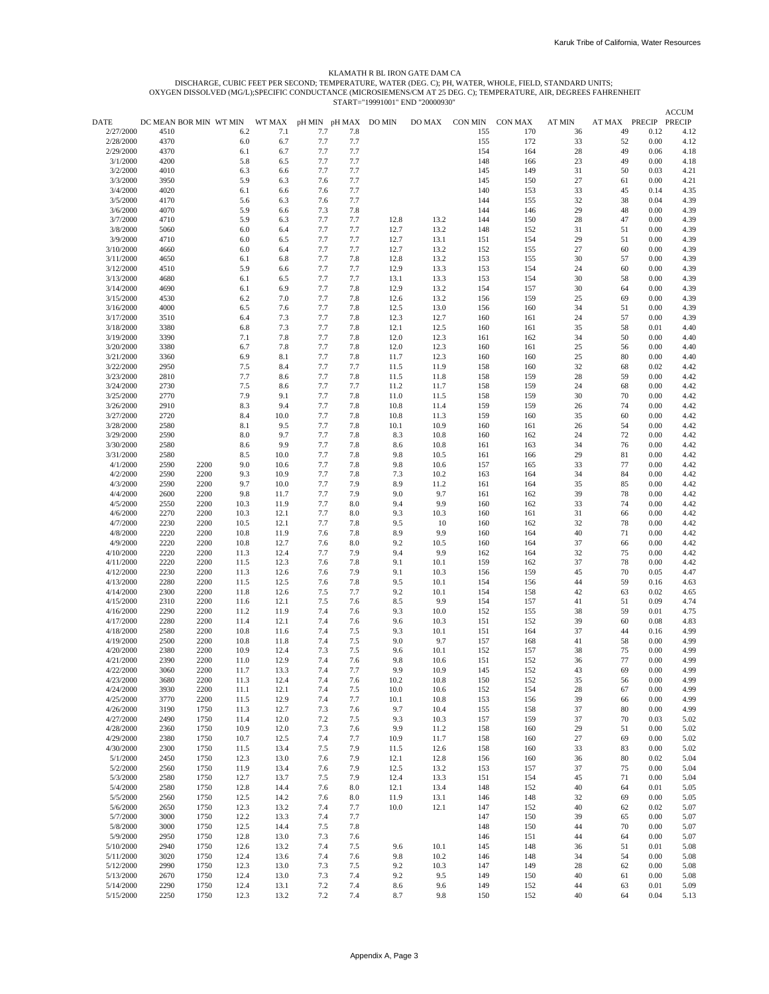# KLAMATH R BL IRON GATE DAM CA

DISCHARGE, CUBIC FEET PER SECOND; TEMPERATURE, WATER (DEG. C); PH, WATER, WHOLE, FIELD, STANDARD UNITS;<br>OXYGEN DISSOLVED (MG/L);SPECIFIC CONDUCTANCE (MICROSIEMENS/CM AT 25 DEG. C); TEMPERATURE, AIR, DEGREES FAHRENHEIT<br>STAR

|           |                        |      |      |        |                      |     | 31ANI - 17771001 |        |         |         |        |                      |      | <b>ACCUM</b> |
|-----------|------------------------|------|------|--------|----------------------|-----|------------------|--------|---------|---------|--------|----------------------|------|--------------|
| DATE      | DC MEAN BOR MIN WT MIN |      |      | WT MAX | pH MIN pH MAX DO MIN |     |                  | DO MAX | CON MIN | CON MAX | AT MIN | AT MAX PRECIP PRECIP |      |              |
| 2/27/2000 | 4510                   |      | 6.2  | 7.1    | 7.7                  | 7.8 |                  |        | 155     | 170     | 36     | 49                   | 0.12 | 4.12         |
| 2/28/2000 | 4370                   |      | 6.0  | 6.7    | 7.7                  | 7.7 |                  |        | 155     | 172     | 33     | 52                   | 0.00 | 4.12         |
| 2/29/2000 | 4370                   |      | 6.1  | 6.7    | 7.7                  | 7.7 |                  |        | 154     | 164     | 28     | 49                   | 0.06 | 4.18         |
| 3/1/2000  | 4200                   |      | 5.8  | 6.5    | 7.7                  | 7.7 |                  |        | 148     | 166     | 23     | 49                   | 0.00 | 4.18         |
| 3/2/2000  | 4010                   |      | 6.3  | 6.6    | 7.7                  | 7.7 |                  |        | 145     | 149     | 31     | 50                   | 0.03 | 4.21         |
| 3/3/2000  | 3950                   |      | 5.9  | 6.3    | 7.6                  | 7.7 |                  |        | 145     | 150     | 27     | 61                   | 0.00 | 4.21         |
| 3/4/2000  | 4020                   |      | 6.1  | 6.6    | 7.6                  | 7.7 |                  |        | 140     | 153     | 33     | 45                   | 0.14 | 4.35         |
| 3/5/2000  | 4170                   |      | 5.6  | 6.3    | 7.6                  | 7.7 |                  |        | 144     | 155     | 32     | 38                   | 0.04 | 4.39         |
| 3/6/2000  | 4070                   |      | 5.9  | 6.6    | 7.3                  | 7.8 |                  |        | 144     | 146     | 29     | 48                   | 0.00 | 4.39         |
| 3/7/2000  | 4710                   |      | 5.9  | 6.3    | 7.7                  | 7.7 | 12.8             | 13.2   | 144     | 150     | 28     | 47                   | 0.00 | 4.39         |
| 3/8/2000  | 5060                   |      | 6.0  | 6.4    | 7.7                  | 7.7 | 12.7             | 13.2   | 148     | 152     | 31     | 51                   | 0.00 | 4.39         |
| 3/9/2000  | 4710                   |      | 6.0  | 6.5    | 7.7                  | 7.7 | 12.7             | 13.1   | 151     | 154     | 29     | 51                   | 0.00 | 4.39         |
| 3/10/2000 | 4660                   |      | 6.0  | 6.4    | 7.7                  | 7.7 | 12.7             | 13.2   | 152     | 155     | 27     | 60                   | 0.00 | 4.39         |
| 3/11/2000 | 4650                   |      | 6.1  | 6.8    | 7.7                  | 7.8 | 12.8             | 13.2   | 153     | 155     | 30     | 57                   | 0.00 | 4.39         |
| 3/12/2000 | 4510                   |      | 5.9  | 6.6    | 7.7                  | 7.7 | 12.9             | 13.3   | 153     | 154     | 24     | 60                   | 0.00 | 4.39         |
| 3/13/2000 | 4680                   |      | 6.1  | 6.5    | 7.7                  | 7.7 | 13.1             | 13.3   | 153     | 154     | 30     | 58                   | 0.00 | 4.39         |
| 3/14/2000 | 4690                   |      | 6.1  | 6.9    | 7.7                  | 7.8 | 12.9             | 13.2   | 154     | 157     | 30     | 64                   | 0.00 | 4.39         |
| 3/15/2000 | 4530                   |      | 6.2  | 7.0    | 7.7                  | 7.8 | 12.6             | 13.2   | 156     | 159     | 25     | 69                   | 0.00 | 4.39         |
| 3/16/2000 | 4000                   |      | 6.5  | 7.6    | 7.7                  | 7.8 | 12.5             | 13.0   | 156     | 160     | 34     | 51                   | 0.00 | 4.39         |
| 3/17/2000 | 3510                   |      | 6.4  | 7.3    | 7.7                  | 7.8 | 12.3             | 12.7   | 160     | 161     | 24     | 57                   | 0.00 | 4.39         |
| 3/18/2000 | 3380                   |      | 6.8  | 7.3    | 7.7                  | 7.8 | 12.1             | 12.5   | 160     | 161     | 35     | 58                   | 0.01 | 4.40         |
| 3/19/2000 | 3390                   |      | 7.1  | 7.8    | 7.7                  | 7.8 | 12.0             | 12.3   | 161     | 162     | 34     | 50                   | 0.00 | 4.40         |
| 3/20/2000 | 3380                   |      | 6.7  | 7.8    | 7.7                  | 7.8 | 12.0             | 12.3   | 160     | 161     | 25     | 56                   | 0.00 | 4.40         |
| 3/21/2000 | 3360                   |      | 6.9  | 8.1    | 7.7                  | 7.8 | 11.7             | 12.3   | 160     | 160     | 25     | 80                   | 0.00 | 4.40         |
| 3/22/2000 | 2950                   |      | 7.5  | 8.4    | 7.7                  | 7.7 | 11.5             | 11.9   | 158     | 160     | 32     | 68                   | 0.02 | 4.42         |
| 3/23/2000 | 2810                   |      | 7.7  | 8.6    | 7.7                  | 7.8 | 11.5             | 11.8   | 158     | 159     | 28     | 59                   | 0.00 | 4.42         |
| 3/24/2000 | 2730                   |      | 7.5  | 8.6    | 7.7                  | 7.7 | 11.2             | 11.7   | 158     | 159     | 24     | 68                   | 0.00 | 4.42         |
| 3/25/2000 | 2770                   |      | 7.9  | 9.1    | 7.7                  | 7.8 | 11.0             | 11.5   | 158     | 159     | 30     | 70                   | 0.00 | 4.42         |
| 3/26/2000 | 2910                   |      | 8.3  | 9.4    | 7.7                  | 7.8 | 10.8             | 11.4   | 159     | 159     | 26     | 74                   | 0.00 | 4.42         |
| 3/27/2000 |                        |      |      | 10.0   |                      |     |                  |        |         |         |        | 60                   |      |              |
|           | 2720                   |      | 8.4  |        | 7.7                  | 7.8 | 10.8             | 11.3   | 159     | 160     | 35     |                      | 0.00 | 4.42         |
| 3/28/2000 | 2580                   |      | 8.1  | 9.5    | 7.7                  | 7.8 | 10.1             | 10.9   | 160     | 161     | 26     | 54<br>72             | 0.00 | 4.42         |
| 3/29/2000 | 2590                   |      | 8.0  | 9.7    | 7.7                  | 7.8 | 8.3              | 10.8   | 160     | 162     | 24     |                      | 0.00 | 4.42         |
| 3/30/2000 | 2580                   |      | 8.6  | 9.9    | 7.7                  | 7.8 | 8.6              | 10.8   | 161     | 163     | 34     | 76                   | 0.00 | 4.42         |
| 3/31/2000 | 2580                   |      | 8.5  | 10.0   | 7.7                  | 7.8 | 9.8              | 10.5   | 161     | 166     | 29     | 81                   | 0.00 | 4.42         |
| 4/1/2000  | 2590                   | 2200 | 9.0  | 10.6   | 7.7                  | 7.8 | 9.8              | 10.6   | 157     | 165     | 33     | 77                   | 0.00 | 4.42         |
| 4/2/2000  | 2590                   | 2200 | 9.3  | 10.9   | 7.7                  | 7.8 | 7.3              | 10.2   | 163     | 164     | 34     | 84                   | 0.00 | 4.42         |
| 4/3/2000  | 2590                   | 2200 | 9.7  | 10.0   | 7.7                  | 7.9 | 8.9              | 11.2   | 161     | 164     | 35     | 85                   | 0.00 | 4.42         |
| 4/4/2000  | 2600                   | 2200 | 9.8  | 11.7   | 7.7                  | 7.9 | 9.0              | 9.7    | 161     | 162     | 39     | 78                   | 0.00 | 4.42         |
| 4/5/2000  | 2550                   | 2200 | 10.3 | 11.9   | 7.7                  | 8.0 | 9.4              | 9.9    | 160     | 162     | 33     | 74                   | 0.00 | 4.42         |
| 4/6/2000  | 2270                   | 2200 | 10.3 | 12.1   | 7.7                  | 8.0 | 9.3              | 10.3   | 160     | 161     | 31     | 66                   | 0.00 | 4.42         |
| 4/7/2000  | 2230                   | 2200 | 10.5 | 12.1   | 7.7                  | 7.8 | 9.5              | 10     | 160     | 162     | 32     | 78                   | 0.00 | 4.42         |
| 4/8/2000  | 2220                   | 2200 | 10.8 | 11.9   | 7.6                  | 7.8 | 8.9              | 9.9    | 160     | 164     | 40     | 71                   | 0.00 | 4.42         |
| 4/9/2000  | 2220                   | 2200 | 10.8 | 12.7   | 7.6                  | 8.0 | 9.2              | 10.5   | 160     | 164     | 37     | 66                   | 0.00 | 4.42         |
| 4/10/2000 | 2220                   | 2200 | 11.3 | 12.4   | 7.7                  | 7.9 | 9.4              | 9.9    | 162     | 164     | 32     | 75                   | 0.00 | 4.42         |
| 4/11/2000 | 2220                   | 2200 | 11.5 | 12.3   | 7.6                  | 7.8 | 9.1              | 10.1   | 159     | 162     | 37     | 78                   | 0.00 | 4.42         |
| 4/12/2000 | 2230                   | 2200 | 11.3 | 12.6   | 7.6                  | 7.9 | 9.1              | 10.3   | 156     | 159     | 45     | 70                   | 0.05 | 4.47         |
| 4/13/2000 | 2280                   | 2200 | 11.5 | 12.5   | 7.6                  | 7.8 | 9.5              | 10.1   | 154     | 156     | 44     | 59                   | 0.16 | 4.63         |
| 4/14/2000 | 2300                   | 2200 | 11.8 | 12.6   | 7.5                  | 7.7 | 9.2              | 10.1   | 154     | 158     | 42     | 63                   | 0.02 | 4.65         |
| 4/15/2000 | 2310                   | 2200 | 11.6 | 12.1   | 7.5                  | 7.6 | 8.5              | 9.9    | 154     | 157     | 41     | 51                   | 0.09 | 4.74         |
| 4/16/2000 | 2290                   | 2200 | 11.2 | 11.9   | 7.4                  | 7.6 | 9.3              | 10.0   | 152     | 155     | 38     | 59                   | 0.01 | 4.75         |
| 4/17/2000 | 2280                   | 2200 | 11.4 | 12.1   | 7.4                  | 7.6 | 9.6              | 10.3   | 151     | 152     | 39     | 60                   | 0.08 | 4.83         |
| 4/18/2000 | 2580                   | 2200 | 10.8 | 11.6   | 7.4                  | 7.5 | 9.3              | 10.1   | 151     | 164     | 37     | 44                   | 0.16 | 4.99         |
| 4/19/2000 | 2500                   | 2200 | 10.8 | 11.8   | 7.4                  | 7.5 | 9.0              | 9.7    | 157     | 168     | 41     | 58                   | 0.00 | 4.99         |
| 4/20/2000 | 2380                   | 2200 | 10.9 | 12.4   | 7.3                  | 7.5 | 9.6              | 10.1   | 152     | 157     | 38     | 75                   | 0.00 | 4.99         |
| 4/21/2000 | 2390                   | 2200 | 11.0 | 12.9   | 7.4                  | 7.6 | 9.8              | 10.6   | 151     | 152     | 36     | 77                   | 0.00 | 4.99         |
| 4/22/2000 | 3060                   | 2200 | 11.7 | 13.3   | 7.4                  | 7.7 | 9.9              | 10.9   | 145     | 152     | 43     | 69                   | 0.00 | 4.99         |
| 4/23/2000 | 3680                   | 2200 | 11.3 | 12.4   | 7.4                  | 7.6 | 10.2             | 10.8   | 150     | 152     | 35     | 56                   | 0.00 | 4.99         |
| 4/24/2000 | 3930                   | 2200 | 11.1 | 12.1   | 7.4                  | 7.5 | 10.0             | 10.6   | 152     | 154     | 28     | 67                   | 0.00 | 4.99         |
| 4/25/2000 | 3770                   | 2200 | 11.5 | 12.9   | 7.4                  | 7.7 | 10.1             | 10.8   | 153     | 156     | 39     | 66                   | 0.00 | 4.99         |
| 4/26/2000 | 3190                   | 1750 | 11.3 | 12.7   | 7.3                  | 7.6 | 9.7              | 10.4   | 155     | 158     | 37     | 80                   | 0.00 | 4.99         |
| 4/27/2000 | 2490                   | 1750 | 11.4 | 12.0   | 7.2                  | 7.5 | 9.3              | 10.3   | 157     | 159     | 37     | 70                   | 0.03 | 5.02         |
| 4/28/2000 | 2360                   | 1750 | 10.9 | 12.0   | 7.3                  | 7.6 | 9.9              | 11.2   | 158     | 160     | 29     | 51                   | 0.00 | 5.02         |
| 4/29/2000 | 2380                   | 1750 | 10.7 | 12.5   | 7.4                  | 7.7 | 10.9             | 11.7   | 158     | 160     | 27     | 69                   | 0.00 | 5.02         |
| 4/30/2000 | 2300                   | 1750 | 11.5 | 13.4   | 7.5                  | 7.9 | 11.5             | 12.6   | 158     | 160     | 33     | 83                   | 0.00 | 5.02         |
| 5/1/2000  | 2450                   | 1750 | 12.3 | 13.0   | 7.6                  | 7.9 | 12.1             | 12.8   | 156     | 160     | 36     | 80                   | 0.02 | 5.04         |
| 5/2/2000  | 2560                   | 1750 | 11.9 | 13.4   | 7.6                  | 7.9 | 12.5             | 13.2   | 153     | 157     | 37     | 75                   | 0.00 | 5.04         |
| 5/3/2000  | 2580                   | 1750 | 12.7 | 13.7   | 7.5                  | 7.9 | 12.4             | 13.3   | 151     | 154     | 45     | 71                   | 0.00 | 5.04         |
| 5/4/2000  | 2580                   | 1750 | 12.8 | 14.4   | 7.6                  | 8.0 | 12.1             | 13.4   | 148     | 152     | 40     | 64                   | 0.01 | 5.05         |
| 5/5/2000  | 2560                   | 1750 | 12.5 | 14.2   | 7.6                  | 8.0 | 11.9             | 13.1   | 146     | 148     | 32     | 69                   | 0.00 | 5.05         |
| 5/6/2000  | 2650                   | 1750 | 12.3 | 13.2   | 7.4                  | 7.7 | 10.0             | 12.1   | 147     | 152     | 40     | 62                   | 0.02 | 5.07         |
| 5/7/2000  | 3000                   | 1750 | 12.2 | 13.3   | 7.4                  | 7.7 |                  |        | 147     | 150     | 39     | 65                   | 0.00 | 5.07         |
| 5/8/2000  | 3000                   | 1750 | 12.5 | 14.4   | 7.5                  | 7.8 |                  |        | 148     | 150     | 44     | 70                   | 0.00 | 5.07         |
| 5/9/2000  | 2950                   | 1750 | 12.8 | 13.0   | 7.3                  | 7.6 |                  |        | 146     | 151     | 44     | 64                   | 0.00 | 5.07         |
| 5/10/2000 | 2940                   | 1750 | 12.6 | 13.2   | 7.4                  | 7.5 | 9.6              | 10.1   | 145     | 148     | 36     | 51                   | 0.01 | 5.08         |
| 5/11/2000 | 3020                   | 1750 | 12.4 | 13.6   | 7.4                  | 7.6 | 9.8              | 10.2   | 146     | 148     | 34     | 54                   | 0.00 | 5.08         |
| 5/12/2000 | 2990                   | 1750 | 12.3 | 13.0   | 7.3                  | 7.5 | 9.2              | 10.3   | 147     | 149     | 28     | 62                   | 0.00 | 5.08         |
| 5/13/2000 | 2670                   | 1750 | 12.4 | 13.0   | 7.3                  | 7.4 | 9.2              | 9.5    | 149     | 150     | 40     | 61                   | 0.00 | 5.08         |
| 5/14/2000 | 2290                   | 1750 | 12.4 | 13.1   | 7.2                  | 7.4 | 8.6              | 9.6    | 149     | 152     | 44     | 63                   | 0.01 | 5.09         |
| 5/15/2000 | 2250                   | 1750 | 12.3 | 13.2   | 7.2                  | 7.4 | 8.7              | 9.8    | 150     | 152     | 40     | 64                   | 0.04 | 5.13         |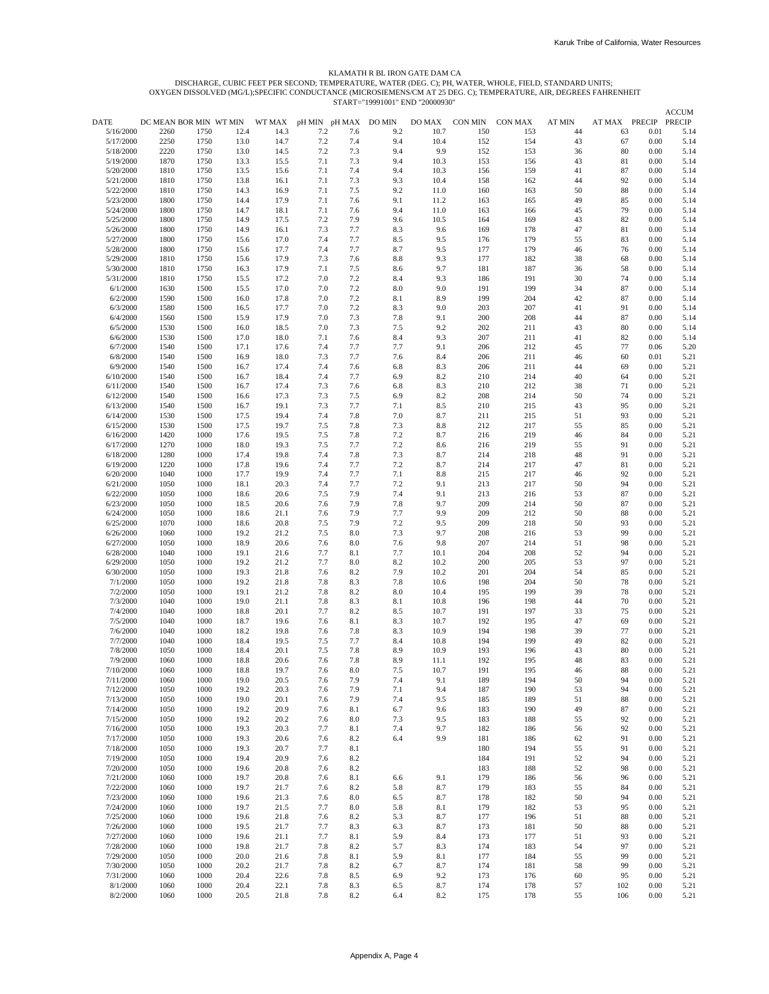### KLAMATH R BL IRON GATE DAM CA

DISCHARGE, CUBIC FEET PER SECOND; TEMPERATURE, WATER (DEG. C); PH, WATER, WHOLE, FIELD, STANDARD UNITS;<br>OXYGEN DISSOLVED (MG/L);SPECIFIC CONDUCTANCE (MICROSIEMENS/CM AT 25 DEG. C); TEMPERATURE, AIR, DEGREES FAHRENHEIT<br>STAR

|                        |                        |              |              |              |               |            | 911M1-1221001 |            |            |            |          |               |              | <b>ACCUM</b> |
|------------------------|------------------------|--------------|--------------|--------------|---------------|------------|---------------|------------|------------|------------|----------|---------------|--------------|--------------|
| DATE                   | DC MEAN BOR MIN WT MIN |              |              | WT MAX       | pH MIN pH MAX |            | DO MIN        | DO MAX     | CON MIN    | CON MAX    | AT MIN   | AT MAX PRECIP |              | PRECIP       |
| 5/16/2000              | 2260                   | 1750         | 12.4         | 14.3         | 7.2           | 7.6        | 9.2           | 10.7       | 150        | 153        | 44       | 63            | 0.01         | 5.14         |
| 5/17/2000              | 2250                   | 1750         | 13.0         | 14.7         | 7.2           | 7.4        | 9.4           | 10.4       | 152        | 154        | 43       | 67            | 0.00         | 5.14         |
| 5/18/2000              | 2220                   | 1750         | 13.0         | 14.5         | 7.2           | 7.3        | 9.4           | 9.9        | 152        | 153        | 36       | 80            | 0.00         | 5.14         |
| 5/19/2000              | 1870                   | 1750         | 13.3         | 15.5         | 7.1           | 7.3        | 9.4           | 10.3       | 153        | 156        | 43       | 81            | 0.00         | 5.14         |
| 5/20/2000              | 1810                   | 1750         | 13.5         | 15.6         | 7.1           | 7.4        | 9.4           | 10.3       | 156        | 159        | 41       | 87            | 0.00         | 5.14         |
| 5/21/2000              | 1810                   | 1750         | 13.8         | 16.1         | 7.1           | 7.3        | 9.3           | 10.4       | 158        | 162        | 44       | 92            | 0.00         | 5.14         |
| 5/22/2000              | 1810                   | 1750         | 14.3         | 16.9         | 7.1           | 7.5        | 9.2           | 11.0       | 160        | 163        | 50       | 88            | 0.00         | 5.14         |
| 5/23/2000              | 1800                   | 1750         | 14.4         | 17.9         | 7.1           | 7.6        | 9.1           | 11.2       | 163        | 165        | 49       | 85            | 0.00         | 5.14         |
| 5/24/2000              | 1800                   | 1750         | 14.7         | 18.1         | 7.1           | 7.6        | 9.4           | 11.0       | 163        | 166        | 45       | 79            | 0.00         | 5.14         |
| 5/25/2000              | 1800                   | 1750         | 14.9         | 17.5         | 7.2           | 7.9        | 9.6           | 10.5       | 164        | 169        | 43       | 82            | 0.00         | 5.14         |
| 5/26/2000              | 1800                   | 1750         | 14.9         | 16.1         | 7.3           | 7.7        | 8.3           | 9.6        | 169        | 178        | 47       | 81            | 0.00         | 5.14         |
| 5/27/2000              | 1800                   | 1750         | 15.6         | 17.0         | 7.4           | 7.7        | 8.5           | 9.5        | 176        | 179        | 55       | 83            | 0.00         | 5.14         |
| 5/28/2000              | 1800                   | 1750         | 15.6         | 17.7         | 7.4           | 7.7        | 8.7           | 9.5        | 177        | 179        | 46       | 76            | 0.00         | 5.14         |
| 5/29/2000              | 1810                   | 1750         | 15.6         | 17.9         | 7.3           | 7.6        | 8.8           | 9.3        | 177        | 182        | 38       | 68            | 0.00         | 5.14         |
| 5/30/2000              | 1810                   | 1750         | 16.3         | 17.9         | 7.1           | 7.5        | 8.6           | 9.7        | 181        | 187        | 36       | 58            | 0.00         | 5.14         |
| 5/31/2000              | 1810                   | 1750         | 15.5         | 17.2         | 7.0           | 7.2        | 8.4           | 9.3        | 186        | 191        | 30       | 74            | 0.00         | 5.14         |
| 6/1/2000               | 1630                   | 1500         | 15.5         | 17.0         | 7.0           | 7.2        | 8.0           | 9.0        | 191        | 199        | 34       | 87            | 0.00         | 5.14         |
| 6/2/2000               | 1590                   | 1500         | 16.0         | 17.8         | 7.0           | 7.2        | 8.1           | 8.9        | 199        | 204        | 42       | 87            | 0.00         | 5.14         |
| 6/3/2000               | 1580                   | 1500         | 16.5         | 17.7         | 7.0           | 7.2        | 8.3           | 9.0        | 203        | 207        | 41       | 91            | 0.00         | 5.14         |
| 6/4/2000               | 1560                   | 1500         | 15.9         | 17.9         | 7.0           | 7.3        | 7.8           | 9.1        | 200        | 208        | 44       | 87            | 0.00         | 5.14         |
| 6/5/2000               | 1530                   | 1500         | 16.0         | 18.5         | 7.0           | 7.3        | 7.5           | 9.2        | 202        | 211        | 43       | 80            | 0.00         | 5.14         |
| 6/6/2000               | 1530                   | 1500         | 17.0         | 18.0         | 7.1           | 7.6        | 8.4           | 9.3        | 207        | 211        | 41       | 82            | 0.00         | 5.14         |
| 6/7/2000               | 1540                   | 1500         | 17.1         | 17.6         | 7.4           | 7.7        | 7.7           | 9.1        | 206        | 212        | 45       | 77            | 0.06         | 5.20         |
| 6/8/2000               | 1540                   | 1500         | 16.9         | 18.0         | 7.3           | 7.7        | 7.6           | 8.4        | 206        | 211        | 46       | 60            | 0.01         | 5.21         |
| 6/9/2000               | 1540                   | 1500         | 16.7         | 17.4         | 7.4           | 7.6        | 6.8           | 8.3        | 206        | 211        | 44       | 69            | 0.00         | 5.21         |
| 6/10/2000              | 1540                   | 1500         | 16.7         | 18.4         | 7.4           | 7.7        | 6.9           | 8.2        | 210        | 214        | 40       | 64            | 0.00         | 5.21         |
| 6/11/2000              | 1540                   | 1500         | 16.7         | 17.4         | 7.3           | 7.6        | 6.8           | 8.3        | 210        | 212        | 38       | 71            | 0.00         | 5.21         |
| 6/12/2000              | 1540                   | 1500         | 16.6         | 17.3         | 7.3           | 7.5        | 6.9           | 8.2        | 208        | 214        | 50       | 74            | 0.00         | 5.21         |
| 6/13/2000              | 1540                   | 1500         | 16.7         | 19.1         | 7.3           | 7.7        | 7.1           | 8.5        | 210        | 215        | 43       | 95            | 0.00         | 5.21         |
| 6/14/2000              | 1530                   | 1500         | 17.5         | 19.4         | 7.4           | 7.8        | 7.0           | 8.7        | 211        | 215        | 51       | 93            | 0.00         | 5.21         |
| 6/15/2000              | 1530                   | 1500         | 17.5         | 19.7         | 7.5           | 7.8        | 7.3           | 8.8        | 212        | 217        | 55       | 85            | 0.00         | 5.21         |
| 6/16/2000              | 1420                   | 1000         | 17.6         | 19.5         | 7.5           | 7.8        | 7.2           | 8.7        | 216        | 219        | 46       | 84            | 0.00         | 5.21         |
| 6/17/2000              | 1270                   | 1000         | 18.0         | 19.3         | 7.5           | 7.7        | 7.2           | 8.6        | 216        | 219        | 55       | 91            | 0.00         | 5.21         |
| 6/18/2000              | 1280                   | 1000         | 17.4         | 19.8         | 7.4           | 7.8        | 7.3           | 8.7        | 214        | 218        | 48       | 91            | 0.00         | 5.21         |
| 6/19/2000              | 1220                   | 1000         | 17.8         | 19.6         | 7.4           | 7.7        | 7.2           | 8.7        | 214        | 217        | 47       | 81            | 0.00         | 5.21         |
| 6/20/2000              | 1040                   | 1000         | 17.7         | 19.9         | 7.4           | 7.7        | 7.1           | 8.8        | 215        | 217        | 46       | 92            | 0.00         | 5.21         |
| 6/21/2000              | 1050                   | 1000         | 18.1         | 20.3         | 7.4           | 7.7        | 7.2           | 9.1        | 213        | 217        | 50       | 94            | 0.00         | 5.21         |
| 6/22/2000              | 1050                   | 1000         | 18.6         | 20.6         | 7.5           | 7.9        | 7.4           | 9.1        | 213        | 216        | 53       | 87            | 0.00         | 5.21         |
| 6/23/2000              | 1050                   | 1000         | 18.5         | 20.6         | 7.6           | 7.9        | 7.8           | 9.7        | 209        | 214        | 50       | 87            | 0.00         | 5.21         |
| 6/24/2000              | 1050                   | 1000         | 18.6         | 21.1         | 7.6           | 7.9        | 7.7           | 9.9        | 209        | 212        | 50       | 88            | 0.00         | 5.21         |
| 6/25/2000              | 1070                   | 1000         | 18.6         | 20.8         | 7.5           | 7.9        | 7.2           | 9.5        | 209        | 218        | 50       | 93            | 0.00         | 5.21         |
| 6/26/2000              | 1060                   | 1000         | 19.2         | 21.2         | 7.5           | 8.0        | 7.3           | 9.7        | 208        | 216        | 53       | 99            | 0.00         | 5.21         |
| 6/27/2000              | 1050                   | 1000         | 18.9         | 20.6         | 7.6           | 8.0        | 7.6           | 9.8        | 207        | 214        | 51       | 98            | 0.00         | 5.21         |
| 6/28/2000              | 1040                   | 1000         | 19.1         | 21.6         | 7.7           | 8.1        | 7.7           | 10.1       | 204        | 208        | 52       | 94            | 0.00         | 5.21         |
| 6/29/2000              | 1050                   | 1000         | 19.2         | 21.2         | 7.7           | 8.0        | 8.2           | 10.2       | 200        | 205        | 53       | 97            | 0.00         | 5.21         |
| 6/30/2000              | 1050                   | 1000         | 19.3         | 21.8         | 7.6           | 8.2        | 7.9           | 10.2       | 201        | 204        | 54       | 85            | 0.00         | 5.21         |
| 7/1/2000               | 1050                   | 1000         | 19.2         | 21.8         | 7.8           | 8.3        | 7.8           | 10.6       | 198        | 204        | 50       | 78            | 0.00         | 5.21         |
| 7/2/2000               | 1050                   | 1000         | 19.1         | 21.2         | 7.8           | 8.2        | 8.0           | 10.4       | 195        | 199        | 39       | 78            | 0.00         | 5.21         |
| 7/3/2000               | 1040                   | 1000         | 19.0         | 21.1         | 7.8           | 8.3        | 8.1           | 10.8       | 196        | 198        | 44       | 70            | 0.00         | 5.21         |
| 7/4/2000               | 1040                   | 1000         | 18.8         | 20.1         | 7.7           | 8.2        | 8.5           | 10.7       | 191        | 197        | 33       | 75            | 0.00         | 5.21         |
| 7/5/2000               | 1040                   | 1000         | 18.7         | 19.6         | 7.6           | 8.1        | 8.3           | 10.7       | 192        | 195        | 47       | 69            | 0.00         | 5.21         |
| 7/6/2000               | 1040                   | 1000         | 18.2         | 19.8         | 7.6           | 7.8        | 8.3           | 10.9       | 194        | 198        | 39       | 77            | 0.00         | 5.21         |
| 7/7/2000               | 1040                   | 1000         | 18.4         | 19.5         | 7.5           | 7.7        | 8.4           | 10.8       | 194        | 199        | 49       | 82            | 0.00         | 5.21         |
| 7/8/2000               | 1050                   | 1000         | 18.4         | 20.1         | 7.5           | 7.8        | 8.9           | 10.9       | 193        | 196        | 43       | 80            | 0.00         | 5.21         |
| 7/9/2000               | 1060                   | 1000         | 18.8         | 20.6         | 7.6           | 7.8        | 8.9           | 11.1       | 192        | 195        | 48       | 83            | 0.00         | 5.21         |
| 7/10/2000              | 1060                   | 1000         | 18.8         | 19.7         | 7.6           | 8.0        | 7.5           | 10.7       | 191        | 195        | 46       | 88            | 0.00         | 5.21         |
| 7/11/2000              | 1060                   | 1000         | 19.0         | 20.5         | 7.6           | 7.9        | 7.4           | 9.1        | 189        | 194        | 50       | 94            | 0.00         | 5.21         |
| 7/12/2000              | 1050                   | 1000         | 19.2         | 20.3         | 7.6           | 7.9        | 7.1           | 9.4        | 187        | 190        | 53       | 94            | 0.00         | 5.21         |
| 7/13/2000              | 1050                   | 1000         | 19.0         | 20.1         | 7.6           | 7.9        | 7.4           | 9.5        | 185        | 189        | 51       | 88            | 0.00         | 5.21         |
| 7/14/2000              | 1050                   | 1000         | 19.2         | 20.9         | 7.6           | 8.1        | 6.7           | 9.6        | 183        | 190        | 49       | 87            | 0.00         | 5.21         |
| 7/15/2000              | 1050                   | 1000         | 19.2         | 20.2         | 7.6           | 8.0        | 7.3           | 9.5        | 183        | 188        | 55       | 92            | 0.00         | 5.21         |
| 7/16/2000              | 1050                   | 1000         | 19.3         | 20.3         | 7.7           | 8.1        | 7.4           | 9.7        | 182        | 186        | 56       | 92            | 0.00         | 5.21         |
| 7/17/2000              | 1050                   | 1000         | 19.3         | 20.6         | 7.6           | 8.2        | 6.4           | 9.9        | 181        | 186        | 62       | 91            | 0.00         | 5.21         |
| 7/18/2000              | 1050                   | 1000         | 19.3         | 20.7         | 7.7           | 8.1        |               |            | 180        | 194        | 55       | 91            | 0.00         | 5.21         |
| 7/19/2000              | 1050                   | 1000         | 19.4         | 20.9         | 7.6           | 8.2        |               |            | 184        | 191        |          | 94            | 0.00         |              |
|                        |                        |              |              |              |               |            |               |            |            |            | 52       |               |              | 5.21         |
| 7/20/2000<br>7/21/2000 | 1050<br>1060           | 1000<br>1000 | 19.6<br>19.7 | 20.8<br>20.8 | 7.6<br>7.6    | 8.2<br>8.1 | 6.6           | 9.1        | 183<br>179 | 188<br>186 | 52<br>56 | 98<br>96      | 0.00<br>0.00 | 5.21<br>5.21 |
| 7/22/2000              | 1060                   | 1000         | 19.7         | 21.7         | 7.6           | 8.2        |               | 8.7        | 179        |            |          | 84            | 0.00         |              |
| 7/23/2000              |                        |              | 19.6         |              |               |            | 5.8           |            |            | 183        | 55       | 94            |              | 5.21         |
|                        | 1060                   | 1000         |              | 21.3         | 7.6           | 8.0        | 6.5           | 8.7        | 178        | 182        | 50       |               | 0.00         | 5.21         |
| 7/24/2000              | 1060                   | 1000         | 19.7         | 21.5         | 7.7           | 8.0        | 5.8           | 8.1        | 179        | 182        | 53       | 95            | 0.00         | 5.21         |
| 7/25/2000              | 1060                   | 1000         | 19.6         | 21.8         | 7.6           | 8.2        | 5.3           | 8.7        | 177        | 196        | 51       | 88            | 0.00         | 5.21         |
| 7/26/2000              | 1060                   | 1000         | 19.5         | 21.7         | 7.7           | 8.3        | 6.3           | 8.7        | 173        | 181        | 50       | 88            | 0.00         | 5.21         |
| 7/27/2000              | 1060                   | 1000         | 19.6         | 21.1         | 7.7           | 8.1        | 5.9           | 8.4        | 173        | 177        | 51       | 93            | 0.00         | 5.21         |
| 7/28/2000              | 1060                   | 1000         | 19.8         | 21.7         | 7.8           | 8.2        | 5.7           | 8.3        | 174        | 183        | 54       | 97            | 0.00         | 5.21         |
| 7/29/2000              | 1050                   | 1000         | 20.0         | 21.6         | 7.8           | 8.1        | 5.9           | 8.1        | 177        | 184        | 55       | 99            | 0.00         | 5.21         |
| 7/30/2000              | 1050                   | 1000         | 20.2         | 21.7         | 7.8           | 8.2        | 6.7           | 8.7        | 174        | 181        | 58       | 99            | 0.00         | 5.21         |
| 7/31/2000              | 1060                   | 1000         | 20.4         | 22.6         | 7.8           | 8.5        | 6.9           | 9.2        | 173        | 176        | 60       | 95            | 0.00         | 5.21         |
| 8/1/2000<br>8/2/2000   | 1060<br>1060           | 1000<br>1000 | 20.4<br>20.5 | 22.1         | 7.8<br>7.8    | 8.3<br>8.2 | 6.5<br>6.4    | 8.7<br>8.2 | 174<br>175 | 178<br>178 | 57<br>55 | 102           | 0.00<br>0.00 | 5.21         |
|                        |                        |              |              | 21.8         |               |            |               |            |            |            |          | 106           |              | 5.21         |